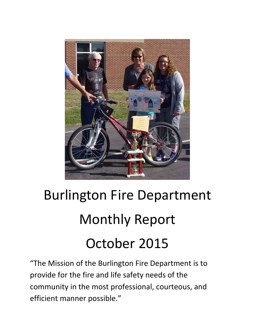

# Burlington Fire Department Monthly Report October 2015

"The Mission of the Burlington Fire Department is to provide for the fire and life safety needs of the community in the most professional, courteous, and efficient manner possible."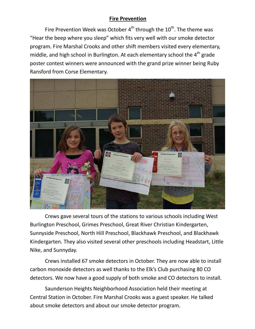## **Fire Prevention**

Fire Prevention Week was October  $4<sup>th</sup>$  through the  $10<sup>th</sup>$ . The theme was "Hear the beep where you sleep" which fits very well with our smoke detector program. Fire Marshal Crooks and other shift members visited every elementary, middle, and high school in Burlington. At each elementary school the  $4<sup>th</sup>$  grade poster contest winners were announced with the grand prize winner being Ruby Ransford from Corse Elementary.



 Crews gave several tours of the stations to various schools including West Burlington Preschool, Grimes Preschool, Great River Christian Kindergarten, Sunnyside Preschool, North Hill Preschool, Blackhawk Preschool, and Blackhawk Kindergarten. They also visited several other preschools including Headstart, Little Nike, and Sunnyday.

 Crews installed 67 smoke detectors in October. They are now able to install carbon monoxide detectors as well thanks to the Elk's Club purchasing 80 CO detectors. We now have a good supply of both smoke and CO detectors to install.

 Saunderson Heights Neighborhood Association held their meeting at Central Station in October. Fire Marshal Crooks was a guest speaker. He talked about smoke detectors and about our smoke detector program.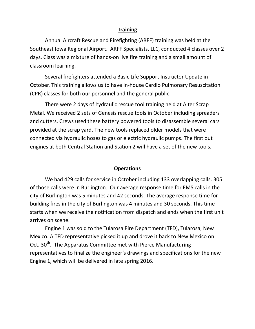#### **Training**

 Annual Aircraft Rescue and Firefighting (ARFF) training was held at the Southeast Iowa Regional Airport. ARFF Specialists, LLC, conducted 4 classes over 2 days. Class was a mixture of hands-on live fire training and a small amount of classroom learning.

 Several firefighters attended a Basic Life Support Instructor Update in October. This training allows us to have in-house Cardio Pulmonary Resuscitation (CPR) classes for both our personnel and the general public.

 There were 2 days of hydraulic rescue tool training held at Alter Scrap Metal. We received 2 sets of Genesis rescue tools in October including spreaders and cutters. Crews used these battery powered tools to disassemble several cars provided at the scrap yard. The new tools replaced older models that were connected via hydraulic hoses to gas or electric hydraulic pumps. The first out engines at both Central Station and Station 2 will have a set of the new tools.

#### **Operations**

We had 429 calls for service in October including 133 overlapping calls. 305 of those calls were in Burlington. Our average response time for EMS calls in the city of Burlington was 5 minutes and 42 seconds. The average response time for building fires in the city of Burlington was 4 minutes and 30 seconds. This time starts when we receive the notification from dispatch and ends when the first unit arrives on scene.

Engine 1 was sold to the Tularosa Fire Department (TFD), Tularosa, New Mexico. A TFD representative picked it up and drove it back to New Mexico on Oct. 30<sup>th</sup>. The Apparatus Committee met with Pierce Manufacturing representatives to finalize the engineer's drawings and specifications for the new Engine 1, which will be delivered in late spring 2016.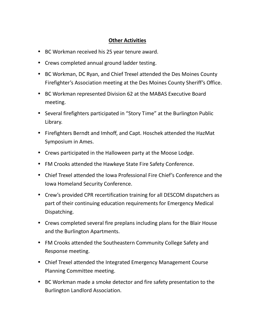### **Other Activities**

- BC Workman received his 25 year tenure award.
- Crews completed annual ground ladder testing.
- BC Workman, DC Ryan, and Chief Trexel attended the Des Moines County Firefighter's Association meeting at the Des Moines County Sheriff's Office.
- BC Workman represented Division 62 at the MABAS Executive Board meeting.
- Several firefighters participated in "Story Time" at the Burlington Public Library.
- Firefighters Berndt and Imhoff, and Capt. Hoschek attended the HazMat Symposium in Ames.
- Crews participated in the Halloween party at the Moose Lodge.
- FM Crooks attended the Hawkeye State Fire Safety Conference.
- Chief Trexel attended the Iowa Professional Fire Chief's Conference and the Iowa Homeland Security Conference.
- Crew's provided CPR recertification training for all DESCOM dispatchers as part of their continuing education requirements for Emergency Medical Dispatching.
- Crews completed several fire preplans including plans for the Blair House and the Burlington Apartments.
- FM Crooks attended the Southeastern Community College Safety and Response meeting.
- Chief Trexel attended the Integrated Emergency Management Course Planning Committee meeting.
- BC Workman made a smoke detector and fire safety presentation to the Burlington Landlord Association.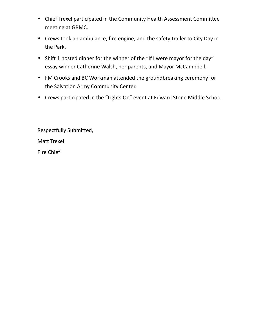- Chief Trexel participated in the Community Health Assessment Committee meeting at GRMC.
- Crews took an ambulance, fire engine, and the safety trailer to City Day in the Park.
- Shift 1 hosted dinner for the winner of the "If I were mayor for the day" essay winner Catherine Walsh, her parents, and Mayor McCampbell.
- FM Crooks and BC Workman attended the groundbreaking ceremony for the Salvation Army Community Center.
- Crews participated in the "Lights On" event at Edward Stone Middle School.

Respectfully Submitted,

Matt Trexel

Fire Chief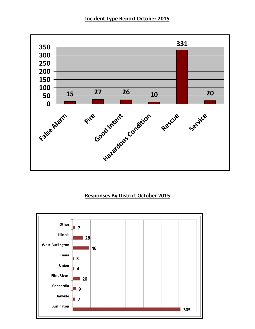#### **Incident Type Report October 2015**



#### **Responses By District October 2015**

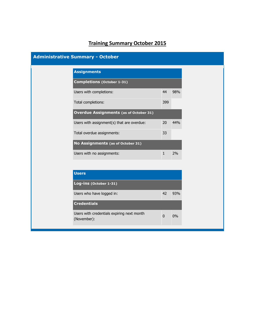# **Training Summary October 2015**

| <b>Administrative Summary - October</b> |                                                           |              |     |
|-----------------------------------------|-----------------------------------------------------------|--------------|-----|
|                                         | <b>Assignments</b>                                        |              |     |
|                                         | <b>Completions (October 1-31)</b>                         |              |     |
|                                         | Users with completions:                                   | 44           | 98% |
|                                         | Total completions:                                        | 399          |     |
|                                         | <b>Overdue Assignments (as of October 31)</b>             |              |     |
|                                         | Users with assignment(s) that are overdue:                | 20           | 44% |
|                                         | Total overdue assignments:                                | 33           |     |
|                                         | No Assignments (as of October 31)                         |              |     |
|                                         | Users with no assignments:                                | $\mathbf{1}$ | 2%  |
|                                         |                                                           |              |     |
|                                         | <b>Users</b>                                              |              |     |
|                                         | Log-ins (October 1-31)                                    |              |     |
|                                         | Users who have logged in:                                 | 42           | 93% |
|                                         | <b>Credentials</b>                                        |              |     |
|                                         | Users with credentials expiring next month<br>(November): | $\mathbf 0$  | 0%  |
|                                         |                                                           |              |     |